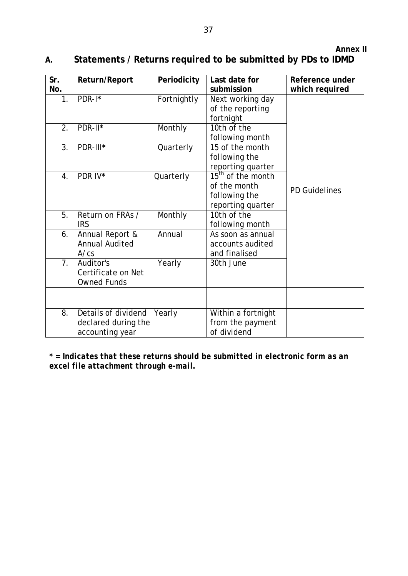## **A. Statements / Returns required to be submitted by PDs to IDMD**

| Sr.<br>No.       | Return/Report                                                 | Periodicity | Last date for<br>submission                                                         | Reference under<br>which required |
|------------------|---------------------------------------------------------------|-------------|-------------------------------------------------------------------------------------|-----------------------------------|
| 1.               | PDR-I*                                                        | Fortnightly | Next working day<br>of the reporting<br>fortnight                                   |                                   |
| 2.               | PDR-II*                                                       | Monthly     | 10th of the<br>following month                                                      |                                   |
| 3.               | PDR-III*                                                      | Quarterly   | 15 of the month<br>following the<br>reporting quarter                               |                                   |
| 4.               | PDR IV*                                                       | Quarterly   | 15 <sup>th</sup> of the month<br>of the month<br>following the<br>reporting quarter | <b>PD Guidelines</b>              |
| 5.               | Return on FRAs /<br><b>IRS</b>                                | Monthly     | 10th of the<br>following month                                                      |                                   |
| 6.               | Annual Report &<br><b>Annual Audited</b><br>A/cs              | Annual      | As soon as annual<br>accounts audited<br>and finalised                              |                                   |
| $\overline{7}$ . | Auditor's<br>Certificate on Net<br><b>Owned Funds</b>         | Yearly      | 30th June                                                                           |                                   |
|                  |                                                               |             |                                                                                     |                                   |
| 8.               | Details of dividend<br>declared during the<br>accounting year | Yearly      | Within a fortnight<br>from the payment<br>of dividend                               |                                   |

*\* = Indicates that these returns should be submitted in electronic form as an excel file attachment through e-mail.*